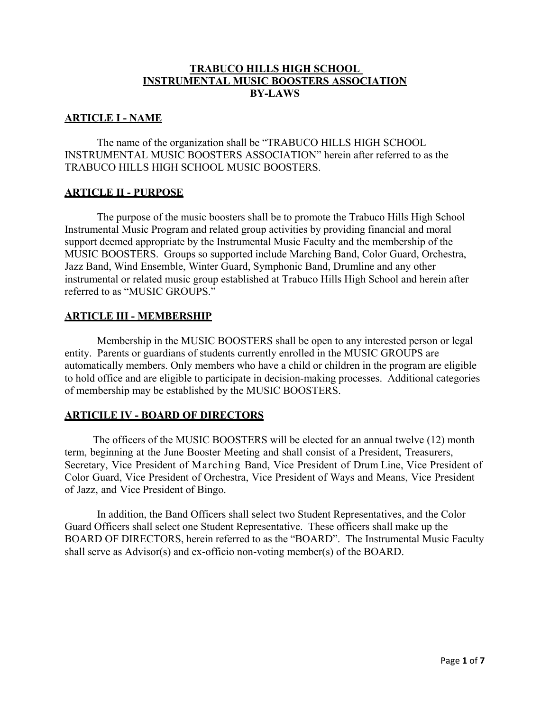### **TRABUCO HILLS HIGH SCHOOL INSTRUMENTAL MUSIC BOOSTERS ASSOCIATION BY-LAWS**

### **ARTICLE I - NAME**

The name of the organization shall be "TRABUCO HILLS HIGH SCHOOL INSTRUMENTAL MUSIC BOOSTERS ASSOCIATION" herein after referred to as the TRABUCO HILLS HIGH SCHOOL MUSIC BOOSTERS.

### **ARTICLE II - PURPOSE**

The purpose of the music boosters shall be to promote the Trabuco Hills High School Instrumental Music Program and related group activities by providing financial and moral support deemed appropriate by the Instrumental Music Faculty and the membership of the MUSIC BOOSTERS. Groups so supported include Marching Band, Color Guard, Orchestra, Jazz Band, Wind Ensemble, Winter Guard, Symphonic Band, Drumline and any other instrumental or related music group established at Trabuco Hills High School and herein after referred to as "MUSIC GROUPS."

### **ARTICLE III - MEMBERSHIP**

Membership in the MUSIC BOOSTERS shall be open to any interested person or legal entity. Parents or guardians of students currently enrolled in the MUSIC GROUPS are automatically members. Only members who have a child or children in the program are eligible to hold office and are eligible to participate in decision-making processes. Additional categories of membership may be established by the MUSIC BOOSTERS.

# **ARTICILE IV - BOARD OF DIRECTORS**

The officers of the MUSIC BOOSTERS will be elected for an annual twelve (12) month term, beginning at the June Booster Meeting and shall consist of a President, Treasurers, Secretary, Vice President of Marching Band, Vice President of Drum Line, Vice President of Color Guard, Vice President of Orchestra, Vice President of Ways and Means, Vice President of Jazz, and Vice President of Bingo.

In addition, the Band Officers shall select two Student Representatives, and the Color Guard Officers shall select one Student Representative. These officers shall make up the BOARD OF DIRECTORS, herein referred to as the "BOARD". The Instrumental Music Faculty shall serve as Advisor(s) and ex-officio non-voting member(s) of the BOARD.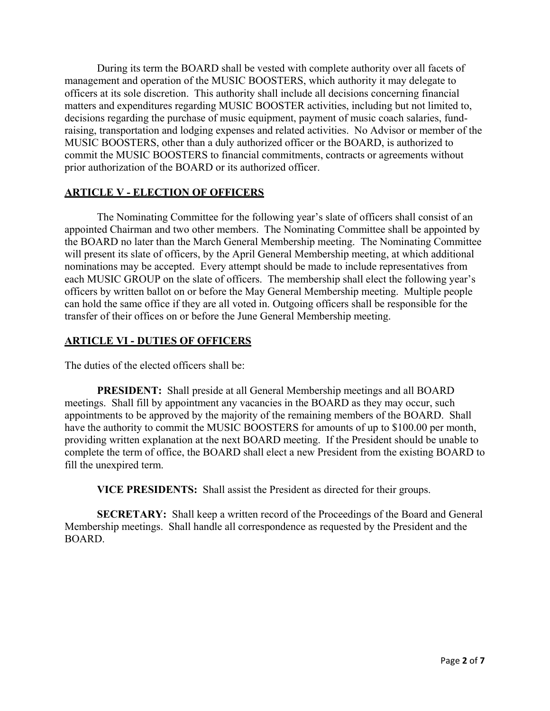During its term the BOARD shall be vested with complete authority over all facets of management and operation of the MUSIC BOOSTERS, which authority it may delegate to officers at its sole discretion. This authority shall include all decisions concerning financial matters and expenditures regarding MUSIC BOOSTER activities, including but not limited to, decisions regarding the purchase of music equipment, payment of music coach salaries, fundraising, transportation and lodging expenses and related activities. No Advisor or member of the MUSIC BOOSTERS, other than a duly authorized officer or the BOARD, is authorized to commit the MUSIC BOOSTERS to financial commitments, contracts or agreements without prior authorization of the BOARD or its authorized officer.

#### **ARTICLE V - ELECTION OF OFFICERS**

The Nominating Committee for the following year's slate of officers shall consist of an appointed Chairman and two other members. The Nominating Committee shall be appointed by the BOARD no later than the March General Membership meeting. The Nominating Committee will present its slate of officers, by the April General Membership meeting, at which additional nominations may be accepted. Every attempt should be made to include representatives from each MUSIC GROUP on the slate of officers. The membership shall elect the following year's officers by written ballot on or before the May General Membership meeting. Multiple people can hold the same office if they are all voted in. Outgoing officers shall be responsible for the transfer of their offices on or before the June General Membership meeting.

#### **ARTICLE VI - DUTIES OF OFFICERS**

The duties of the elected officers shall be:

**PRESIDENT:** Shall preside at all General Membership meetings and all BOARD meetings. Shall fill by appointment any vacancies in the BOARD as they may occur, such appointments to be approved by the majority of the remaining members of the BOARD. Shall have the authority to commit the MUSIC BOOSTERS for amounts of up to \$100.00 per month, providing written explanation at the next BOARD meeting. If the President should be unable to complete the term of office, the BOARD shall elect a new President from the existing BOARD to fill the unexpired term.

**VICE PRESIDENTS:** Shall assist the President as directed for their groups.

**SECRETARY:** Shall keep a written record of the Proceedings of the Board and General Membership meetings. Shall handle all correspondence as requested by the President and the BOARD.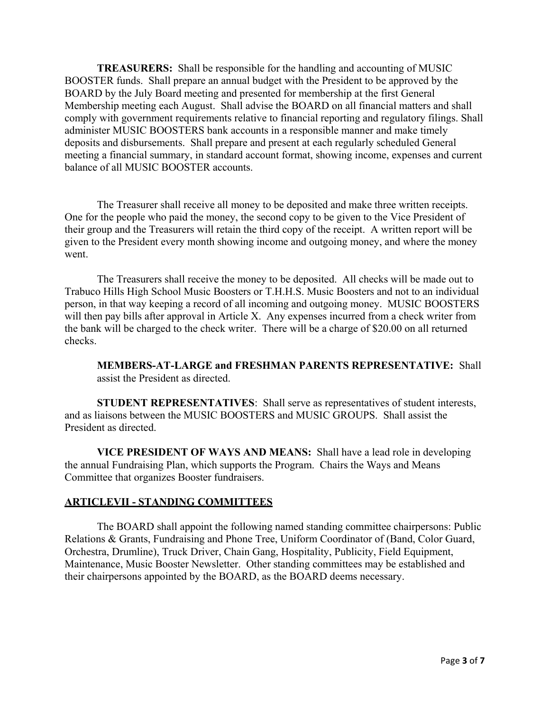**TREASURERS:** Shall be responsible for the handling and accounting of MUSIC BOOSTER funds. Shall prepare an annual budget with the President to be approved by the BOARD by the July Board meeting and presented for membership at the first General Membership meeting each August. Shall advise the BOARD on all financial matters and shall comply with government requirements relative to financial reporting and regulatory filings. Shall administer MUSIC BOOSTERS bank accounts in a responsible manner and make timely deposits and disbursements. Shall prepare and present at each regularly scheduled General meeting a financial summary, in standard account format, showing income, expenses and current balance of all MUSIC BOOSTER accounts.

The Treasurer shall receive all money to be deposited and make three written receipts. One for the people who paid the money, the second copy to be given to the Vice President of their group and the Treasurers will retain the third copy of the receipt. A written report will be given to the President every month showing income and outgoing money, and where the money went.

The Treasurers shall receive the money to be deposited. All checks will be made out to Trabuco Hills High School Music Boosters or T.H.H.S. Music Boosters and not to an individual person, in that way keeping a record of all incoming and outgoing money. MUSIC BOOSTERS will then pay bills after approval in Article X. Any expenses incurred from a check writer from the bank will be charged to the check writer. There will be a charge of \$20.00 on all returned checks.

**MEMBERS-AT-LARGE and FRESHMAN PARENTS REPRESENTATIVE:** Shall assist the President as directed.

**STUDENT REPRESENTATIVES**: Shall serve as representatives of student interests, and as liaisons between the MUSIC BOOSTERS and MUSIC GROUPS. Shall assist the President as directed.

**VICE PRESIDENT OF WAYS AND MEANS:** Shall have a lead role in developing the annual Fundraising Plan, which supports the Program. Chairs the Ways and Means Committee that organizes Booster fundraisers.

#### **ARTICLEVII - STANDING COMMITTEES**

The BOARD shall appoint the following named standing committee chairpersons: Public Relations & Grants, Fundraising and Phone Tree, Uniform Coordinator of (Band, Color Guard, Orchestra, Drumline), Truck Driver, Chain Gang, Hospitality, Publicity, Field Equipment, Maintenance, Music Booster Newsletter. Other standing committees may be established and their chairpersons appointed by the BOARD, as the BOARD deems necessary.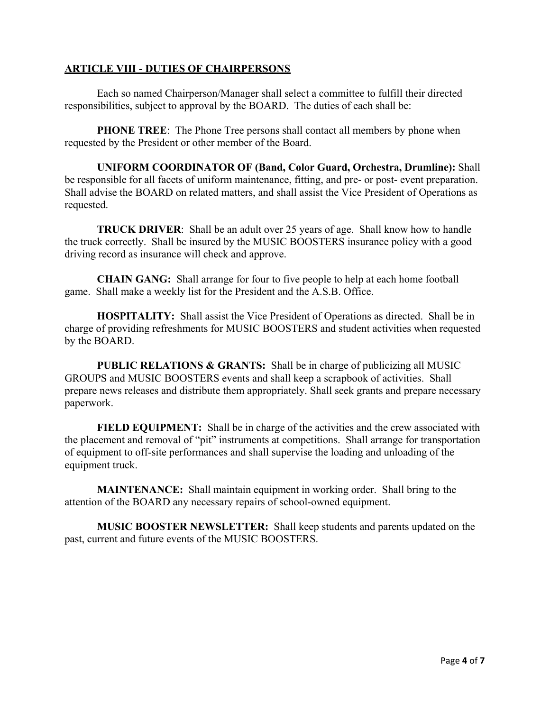### **ARTICLE VIII - DUTIES OF CHAIRPERSONS**

Each so named Chairperson/Manager shall select a committee to fulfill their directed responsibilities, subject to approval by the BOARD. The duties of each shall be:

**PHONE TREE**: The Phone Tree persons shall contact all members by phone when requested by the President or other member of the Board.

**UNIFORM COORDINATOR OF (Band, Color Guard, Orchestra, Drumline):** Shall be responsible for all facets of uniform maintenance, fitting, and pre- or post- event preparation. Shall advise the BOARD on related matters, and shall assist the Vice President of Operations as requested.

**TRUCK DRIVER:** Shall be an adult over 25 years of age. Shall know how to handle the truck correctly. Shall be insured by the MUSIC BOOSTERS insurance policy with a good driving record as insurance will check and approve.

**CHAIN GANG:** Shall arrange for four to five people to help at each home football game. Shall make a weekly list for the President and the A.S.B. Office.

**HOSPITALITY:** Shall assist the Vice President of Operations as directed. Shall be in charge of providing refreshments for MUSIC BOOSTERS and student activities when requested by the BOARD.

**PUBLIC RELATIONS & GRANTS:** Shall be in charge of publicizing all MUSIC GROUPS and MUSIC BOOSTERS events and shall keep a scrapbook of activities. Shall prepare news releases and distribute them appropriately. Shall seek grants and prepare necessary paperwork.

**FIELD EQUIPMENT:** Shall be in charge of the activities and the crew associated with the placement and removal of "pit" instruments at competitions. Shall arrange for transportation of equipment to off-site performances and shall supervise the loading and unloading of the equipment truck.

**MAINTENANCE:** Shall maintain equipment in working order. Shall bring to the attention of the BOARD any necessary repairs of school-owned equipment.

**MUSIC BOOSTER NEWSLETTER:** Shall keep students and parents updated on the past, current and future events of the MUSIC BOOSTERS.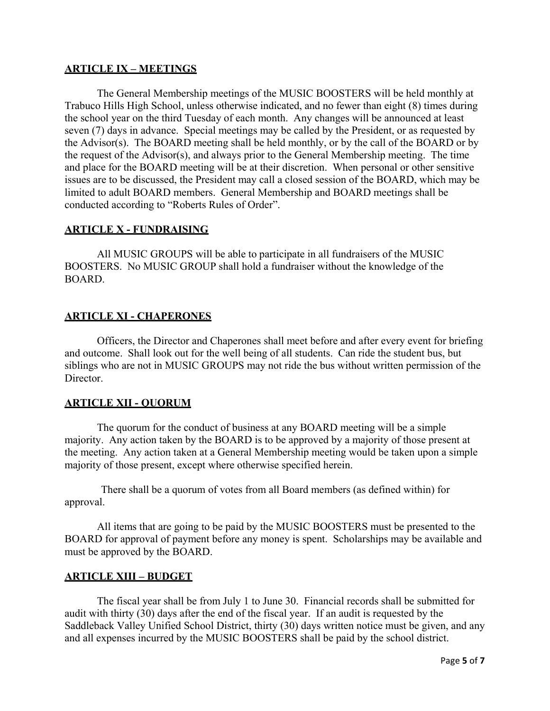# **ARTICLE IX – MEETINGS**

The General Membership meetings of the MUSIC BOOSTERS will be held monthly at Trabuco Hills High School, unless otherwise indicated, and no fewer than eight (8) times during the school year on the third Tuesday of each month. Any changes will be announced at least seven (7) days in advance. Special meetings may be called by the President, or as requested by the Advisor(s). The BOARD meeting shall be held monthly, or by the call of the BOARD or by the request of the Advisor(s), and always prior to the General Membership meeting. The time and place for the BOARD meeting will be at their discretion. When personal or other sensitive issues are to be discussed, the President may call a closed session of the BOARD, which may be limited to adult BOARD members. General Membership and BOARD meetings shall be conducted according to "Roberts Rules of Order".

### **ARTICLE X - FUNDRAISING**

All MUSIC GROUPS will be able to participate in all fundraisers of the MUSIC BOOSTERS. No MUSIC GROUP shall hold a fundraiser without the knowledge of the BOARD.

### **ARTICLE XI - CHAPERONES**

Officers, the Director and Chaperones shall meet before and after every event for briefing and outcome. Shall look out for the well being of all students. Can ride the student bus, but siblings who are not in MUSIC GROUPS may not ride the bus without written permission of the Director.

### **ARTICLE XII - QUORUM**

The quorum for the conduct of business at any BOARD meeting will be a simple majority. Any action taken by the BOARD is to be approved by a majority of those present at the meeting. Any action taken at a General Membership meeting would be taken upon a simple majority of those present, except where otherwise specified herein.

There shall be a quorum of votes from all Board members (as defined within) for approval.

All items that are going to be paid by the MUSIC BOOSTERS must be presented to the BOARD for approval of payment before any money is spent. Scholarships may be available and must be approved by the BOARD.

#### **ARTICLE XIII – BUDGET**

The fiscal year shall be from July 1 to June 30. Financial records shall be submitted for audit with thirty (30) days after the end of the fiscal year. If an audit is requested by the Saddleback Valley Unified School District, thirty (30) days written notice must be given, and any and all expenses incurred by the MUSIC BOOSTERS shall be paid by the school district.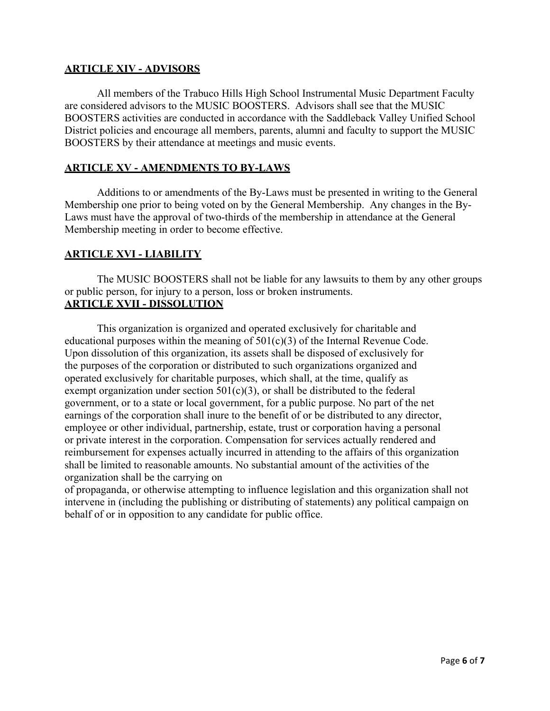# **ARTICLE XIV - ADVISORS**

All members of the Trabuco Hills High School Instrumental Music Department Faculty are considered advisors to the MUSIC BOOSTERS. Advisors shall see that the MUSIC BOOSTERS activities are conducted in accordance with the Saddleback Valley Unified School District policies and encourage all members, parents, alumni and faculty to support the MUSIC BOOSTERS by their attendance at meetings and music events.

### **ARTICLE XV - AMENDMENTS TO BY-LAWS**

Additions to or amendments of the By-Laws must be presented in writing to the General Membership one prior to being voted on by the General Membership. Any changes in the By-Laws must have the approval of two-thirds of the membership in attendance at the General Membership meeting in order to become effective.

### **ARTICLE XVI - LIABILITY**

The MUSIC BOOSTERS shall not be liable for any lawsuits to them by any other groups or public person, for injury to a person, loss or broken instruments. **ARTICLE XVII - DISSOLUTION**

 This organization is organized and operated exclusively for charitable and educational purposes within the meaning of  $501(c)(3)$  of the Internal Revenue Code. Upon dissolution of this organization, its assets shall be disposed of exclusively for the purposes of the corporation or distributed to such organizations organized and operated exclusively for charitable purposes, which shall, at the time, qualify as exempt organization under section  $501(c)(3)$ , or shall be distributed to the federal government, or to a state or local government, for a public purpose. No part of the net earnings of the corporation shall inure to the benefit of or be distributed to any director, employee or other individual, partnership, estate, trust or corporation having a personal or private interest in the corporation. Compensation for services actually rendered and reimbursement for expenses actually incurred in attending to the affairs of this organization shall be limited to reasonable amounts. No substantial amount of the activities of the organization shall be the carrying on

of propaganda, or otherwise attempting to influence legislation and this organization shall not intervene in (including the publishing or distributing of statements) any political campaign on behalf of or in opposition to any candidate for public office.